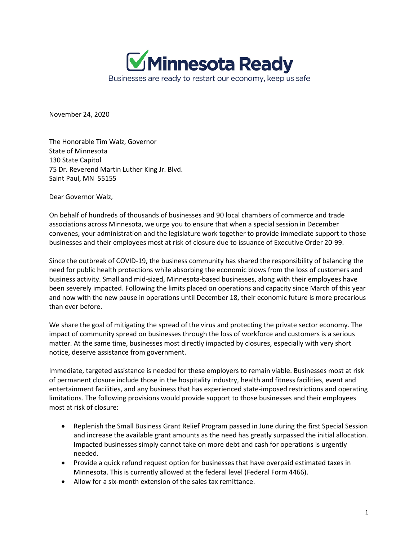

November 24, 2020

The Honorable Tim Walz, Governor State of Minnesota 130 State Capitol 75 Dr. Reverend Martin Luther King Jr. Blvd. Saint Paul, MN 55155

Dear Governor Walz,

On behalf of hundreds of thousands of businesses and 90 local chambers of commerce and trade associations across Minnesota, we urge you to ensure that when a special session in December convenes, your administration and the legislature work together to provide immediate support to those businesses and their employees most at risk of closure due to issuance of Executive Order 20-99.

Since the outbreak of COVID-19, the business community has shared the responsibility of balancing the need for public health protections while absorbing the economic blows from the loss of customers and business activity. Small and mid-sized, Minnesota-based businesses, along with their employees have been severely impacted. Following the limits placed on operations and capacity since March of this year and now with the new pause in operations until December 18, their economic future is more precarious than ever before.

We share the goal of mitigating the spread of the virus and protecting the private sector economy. The impact of community spread on businesses through the loss of workforce and customers is a serious matter. At the same time, businesses most directly impacted by closures, especially with very short notice, deserve assistance from government.

Immediate, targeted assistance is needed for these employers to remain viable. Businesses most at risk of permanent closure include those in the hospitality industry, health and fitness facilities, event and entertainment facilities, and any business that has experienced state-imposed restrictions and operating limitations. The following provisions would provide support to those businesses and their employees most at risk of closure:

- Replenish the Small Business Grant Relief Program passed in June during the first Special Session and increase the available grant amounts as the need has greatly surpassed the initial allocation. Impacted businesses simply cannot take on more debt and cash for operations is urgently needed.
- Provide a quick refund request option for businesses that have overpaid estimated taxes in Minnesota. This is currently allowed at the federal level (Federal Form 4466).
- Allow for a six-month extension of the sales tax remittance.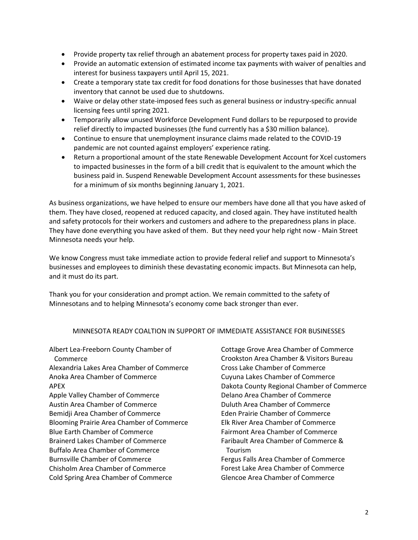- Provide property tax relief through an abatement process for property taxes paid in 2020.
- Provide an automatic extension of estimated income tax payments with waiver of penalties and interest for business taxpayers until April 15, 2021.
- Create a temporary state tax credit for food donations for those businesses that have donated inventory that cannot be used due to shutdowns.
- Waive or delay other state-imposed fees such as general business or industry-specific annual licensing fees until spring 2021.
- Temporarily allow unused Workforce Development Fund dollars to be repurposed to provide relief directly to impacted businesses (the fund currently has a \$30 million balance).
- Continue to ensure that unemployment insurance claims made related to the COVID-19 pandemic are not counted against employers' experience rating.
- Return a proportional amount of the state Renewable Development Account for Xcel customers to impacted businesses in the form of a bill credit that is equivalent to the amount which the business paid in. Suspend Renewable Development Account assessments for these businesses for a minimum of six months beginning January 1, 2021.

As business organizations, we have helped to ensure our members have done all that you have asked of them. They have closed, reopened at reduced capacity, and closed again. They have instituted health and safety protocols for their workers and customers and adhere to the preparedness plans in place. They have done everything you have asked of them. But they need your help right now - Main Street Minnesota needs your help.

We know Congress must take immediate action to provide federal relief and support to Minnesota's businesses and employees to diminish these devastating economic impacts. But Minnesota can help, and it must do its part.

Thank you for your consideration and prompt action. We remain committed to the safety of Minnesotans and to helping Minnesota's economy come back stronger than ever.

## MINNESOTA READY COALTION IN SUPPORT OF IMMEDIATE ASSISTANCE FOR BUSINESSES

Albert Lea-Freeborn County Chamber of Commerce Alexandria Lakes Area Chamber of Commerce Anoka Area Chamber of Commerce APEX Apple Valley Chamber of Commerce Austin Area Chamber of Commerce Bemidji Area Chamber of Commerce Blooming Prairie Area Chamber of Commerce Blue Earth Chamber of Commerce Brainerd Lakes Chamber of Commerce Buffalo Area Chamber of Commerce Burnsville Chamber of Commerce Chisholm Area Chamber of Commerce Cold Spring Area Chamber of Commerce

Cottage Grove Area Chamber of Commerce Crookston Area Chamber & Visitors Bureau Cross Lake Chamber of Commerce Cuyuna Lakes Chamber of Commerce Dakota County Regional Chamber of Commerce Delano Area Chamber of Commerce Duluth Area Chamber of Commerce Eden Prairie Chamber of Commerce Elk River Area Chamber of Commerce Fairmont Area Chamber of Commerce Faribault Area Chamber of Commerce & Tourism Fergus Falls Area Chamber of Commerce Forest Lake Area Chamber of Commerce Glencoe Area Chamber of Commerce